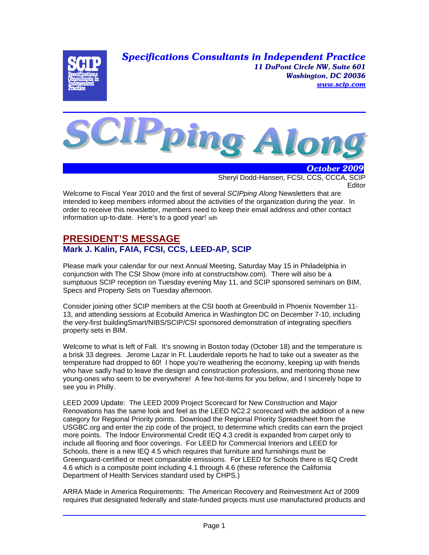*Specifications Consultants in Independent Practice 11 DuPont Circle NW, Suite 601 Washington, DC 20036 www.scip.com*





 *October 2009* Sheryl Dodd-Hansen, FCSI, CCS, CCCA, SCIP **Editor** 

Welcome to Fiscal Year 2010 and the first of several *SCIPping Along* Newsletters that are intended to keep members informed about the activities of the organization during the year. In order to receive this newsletter, members need to keep their email address and other contact information up-to-date. Here's to a good year! sdh

## **PRESIDENT'S MESSAGE Mark J. Kalin, FAIA, FCSI, CCS, LEED-AP, SCIP**

Please mark your calendar for our next Annual Meeting, Saturday May 15 in Philadelphia in conjunction with The CSI Show (more info at constructshow.com). There will also be a sumptuous SCIP reception on Tuesday evening May 11, and SCIP sponsored seminars on BIM, Specs and Property Sets on Tuesday afternoon.

Consider joining other SCIP members at the CSI booth at Greenbuild in Phoenix November 11- 13, and attending sessions at Ecobuild America in Washington DC on December 7-10, including the very-first buildingSmart/NIBS/SCIP/CSI sponsored demonstration of integrating specifiers property sets in BIM.

Welcome to what is left of Fall. It's snowing in Boston today (October 18) and the temperature is a brisk 33 degrees. Jerome Lazar in Ft. Lauderdale reports he had to take out a sweater as the temperature had dropped to 60! I hope you're weathering the economy, keeping up with friends who have sadly had to leave the design and construction professions, and mentoring those new young-ones who seem to be everywhere! A few hot-items for you below, and I sincerely hope to see you in Philly.

LEED 2009 Update: The LEED 2009 Project Scorecard for New Construction and Major Renovations has the same look and feel as the LEED NC2.2 scorecard with the addition of a new category for Regional Priority points. Download the Regional Priority Spreadsheet from the USGBC.org and enter the zip code of the project, to determine which credits can earn the project more points. The Indoor Environmental Credit IEQ 4.3 credit is expanded from carpet only to include all flooring and floor coverings. For LEED for Commercial Interiors and LEED for Schools, there is a new IEQ 4.5 which requires that furniture and furnishings must be Greenguard-certified or meet comparable emissions. For LEED for Schools there is IEQ Credit 4.6 which is a composite point including 4.1 through 4.6 (these reference the California Department of Health Services standard used by CHPS.)

ARRA Made in America Requirements: The American Recovery and Reinvestment Act of 2009 requires that designated federally and state-funded projects must use manufactured products and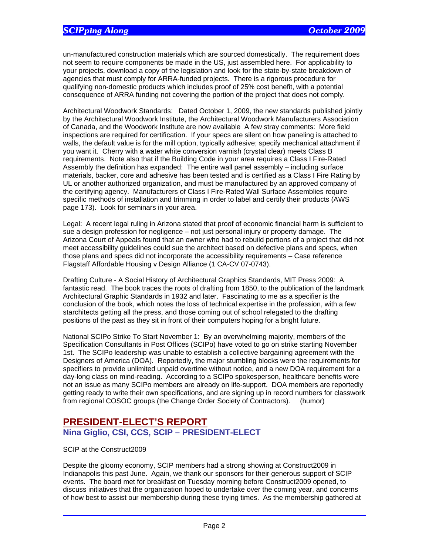un-manufactured construction materials which are sourced domestically. The requirement does not seem to require components be made in the US, just assembled here. For applicability to your projects, download a copy of the legislation and look for the state-by-state breakdown of agencies that must comply for ARRA-funded projects. There is a rigorous procedure for qualifying non-domestic products which includes proof of 25% cost benefit, with a potential consequence of ARRA funding not covering the portion of the project that does not comply.

Architectural Woodwork Standards: Dated October 1, 2009, the new standards published jointly by the Architectural Woodwork Institute, the Architectural Woodwork Manufacturers Association of Canada, and the Woodwork Institute are now available A few stray comments: More field inspections are required for certification. If your specs are silent on how paneling is attached to walls, the default value is for the mill option, typically adhesive; specify mechanical attachment if you want it. Cherry with a water white conversion varnish (crystal clear) meets Class B requirements. Note also that if the Building Code in your area requires a Class I Fire-Rated Assembly the definition has expanded: The entire wall panel assembly – including surface materials, backer, core and adhesive has been tested and is certified as a Class I Fire Rating by UL or another authorized organization, and must be manufactured by an approved company of the certifying agency. Manufacturers of Class I Fire-Rated Wall Surface Assemblies require specific methods of installation and trimming in order to label and certify their products (AWS page 173). Look for seminars in your area.

Legal: A recent legal ruling in Arizona stated that proof of economic financial harm is sufficient to sue a design profession for negligence – not just personal injury or property damage. The Arizona Court of Appeals found that an owner who had to rebuild portions of a project that did not meet accessibility guidelines could sue the architect based on defective plans and specs, when those plans and specs did not incorporate the accessibility requirements – Case reference Flagstaff Affordable Housing v Design Alliance (1 CA-CV 07-0743).

Drafting Culture - A Social History of Architectural Graphics Standards, MIT Press 2009: A fantastic read. The book traces the roots of drafting from 1850, to the publication of the landmark Architectural Graphic Standards in 1932 and later. Fascinating to me as a specifier is the conclusion of the book, which notes the loss of technical expertise in the profession, with a few starchitects getting all the press, and those coming out of school relegated to the drafting positions of the past as they sit in front of their computers hoping for a bright future.

National SCIPo Strike To Start November 1: By an overwhelming majority, members of the Specification Consultants in Post Offices (SCIPo) have voted to go on strike starting November 1st. The SCIPo leadership was unable to establish a collective bargaining agreement with the Designers of America (DOA). Reportedly, the major stumbling blocks were the requirements for specifiers to provide unlimited unpaid overtime without notice, and a new DOA requirement for a day-long class on mind-reading. According to a SCIPo spokesperson, healthcare benefits were not an issue as many SCIPo members are already on life-support. DOA members are reportedly getting ready to write their own specifications, and are signing up in record numbers for classwork from regional COSOC groups (the Change Order Society of Contractors). (humor)

## **PRESIDENT-ELECT'S REPORT Nina Giglio, CSI, CCS, SCIP – PRESIDENT-ELECT**

#### SCIP at the Construct2009

Despite the gloomy economy, SCIP members had a strong showing at Construct2009 in Indianapolis this past June. Again, we thank our sponsors for their generous support of SCIP events. The board met for breakfast on Tuesday morning before Construct2009 opened, to discuss initiatives that the organization hoped to undertake over the coming year, and concerns of how best to assist our membership during these trying times. As the membership gathered at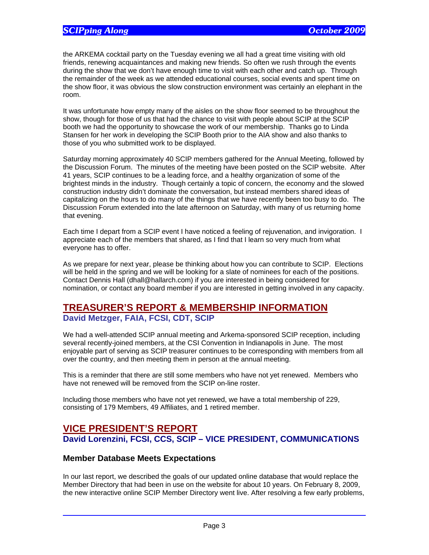the ARKEMA cocktail party on the Tuesday evening we all had a great time visiting with old friends, renewing acquaintances and making new friends. So often we rush through the events during the show that we don't have enough time to visit with each other and catch up. Through the remainder of the week as we attended educational courses, social events and spent time on the show floor, it was obvious the slow construction environment was certainly an elephant in the room.

It was unfortunate how empty many of the aisles on the show floor seemed to be throughout the show, though for those of us that had the chance to visit with people about SCIP at the SCIP booth we had the opportunity to showcase the work of our membership. Thanks go to Linda Stansen for her work in developing the SCIP Booth prior to the AIA show and also thanks to those of you who submitted work to be displayed.

Saturday morning approximately 40 SCIP members gathered for the Annual Meeting, followed by the Discussion Forum. The minutes of the meeting have been posted on the SCIP website. After 41 years, SCIP continues to be a leading force, and a healthy organization of some of the brightest minds in the industry. Though certainly a topic of concern, the economy and the slowed construction industry didn't dominate the conversation, but instead members shared ideas of capitalizing on the hours to do many of the things that we have recently been too busy to do. The Discussion Forum extended into the late afternoon on Saturday, with many of us returning home that evening.

Each time I depart from a SCIP event I have noticed a feeling of rejuvenation, and invigoration. I appreciate each of the members that shared, as I find that I learn so very much from what everyone has to offer.

As we prepare for next year, please be thinking about how you can contribute to SCIP. Elections will be held in the spring and we will be looking for a slate of nominees for each of the positions. Contact Dennis Hall (dhall@hallarch.com) if you are interested in being considered for nomination, or contact any board member if you are interested in getting involved in any capacity.

# **TREASURER'S REPORT & MEMBERSHIP INFORMATION**

## **David Metzger, FAIA, FCSI, CDT, SCIP**

We had a well-attended SCIP annual meeting and Arkema-sponsored SCIP reception, including several recently-joined members, at the CSI Convention in Indianapolis in June. The most enjoyable part of serving as SCIP treasurer continues to be corresponding with members from all over the country, and then meeting them in person at the annual meeting.

This is a reminder that there are still some members who have not yet renewed. Members who have not renewed will be removed from the SCIP on-line roster.

Including those members who have not yet renewed, we have a total membership of 229, consisting of 179 Members, 49 Affiliates, and 1 retired member.

## **VICE PRESIDENT'S REPORT David Lorenzini, FCSI, CCS, SCIP – VICE PRESIDENT, COMMUNICATIONS**

### **Member Database Meets Expectations**

In our last report, we described the goals of our updated online database that would replace the Member Directory that had been in use on the website for about 10 years. On February 8, 2009, the new interactive online SCIP Member Directory went live. After resolving a few early problems,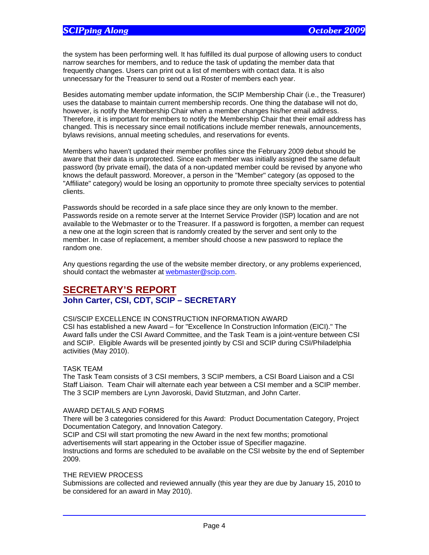the system has been performing well. It has fulfilled its dual purpose of allowing users to conduct narrow searches for members, and to reduce the task of updating the member data that frequently changes. Users can print out a list of members with contact data. It is also unnecessary for the Treasurer to send out a Roster of members each year.

Besides automating member update information, the SCIP Membership Chair (i.e., the Treasurer) uses the database to maintain current membership records. One thing the database will not do, however, is notify the Membership Chair when a member changes his/her email address. Therefore, it is important for members to notify the Membership Chair that their email address has changed. This is necessary since email notifications include member renewals, announcements, bylaws revisions, annual meeting schedules, and reservations for events.

Members who haven't updated their member profiles since the February 2009 debut should be aware that their data is unprotected. Since each member was initially assigned the same default password (by private email), the data of a non-updated member could be revised by anyone who knows the default password. Moreover, a person in the "Member" category (as opposed to the "Affiliate" category) would be losing an opportunity to promote three specialty services to potential clients.

Passwords should be recorded in a safe place since they are only known to the member. Passwords reside on a remote server at the Internet Service Provider (ISP) location and are not available to the Webmaster or to the Treasurer. If a password is forgotten, a member can request a new one at the login screen that is randomly created by the server and sent only to the member. In case of replacement, a member should choose a new password to replace the random one.

Any questions regarding the use of the website member directory, or any problems experienced, should contact the webmaster at webmaster@scip.com.

## **SECRETARY'S REPORT John Carter, CSI, CDT, SCIP – SECRETARY**

#### CSI/SCIP EXCELLENCE IN CONSTRUCTION INFORMATION AWARD

CSI has established a new Award – for "Excellence In Construction Information (EICI)." The Award falls under the CSI Award Committee, and the Task Team is a joint-venture between CSI and SCIP. Eligible Awards will be presented jointly by CSI and SCIP during CSI/Philadelphia activities (May 2010).

#### TASK TEAM

The Task Team consists of 3 CSI members, 3 SCIP members, a CSI Board Liaison and a CSI Staff Liaison. Team Chair will alternate each year between a CSI member and a SCIP member. The 3 SCIP members are Lynn Javoroski, David Stutzman, and John Carter.

#### AWARD DETAILS AND FORMS

There will be 3 categories considered for this Award: Product Documentation Category, Project Documentation Category, and Innovation Category.

SCIP and CSI will start promoting the new Award in the next few months; promotional advertisements will start appearing in the October issue of Specifier magazine.

Instructions and forms are scheduled to be available on the CSI website by the end of September 2009.

#### THE REVIEW PROCESS

Submissions are collected and reviewed annually (this year they are due by January 15, 2010 to be considered for an award in May 2010).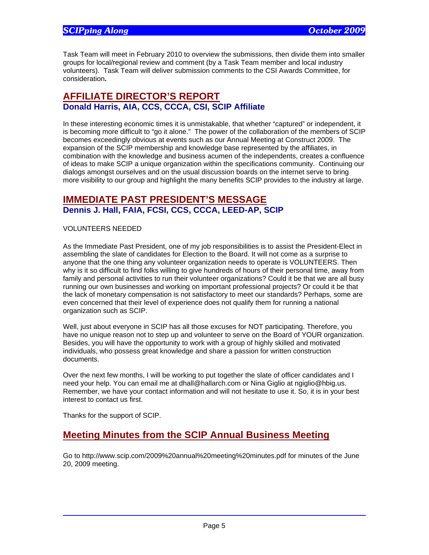Task Team will meet in February 2010 to overview the submissions, then divide them into smaller groups for local/regional review and comment (by a Task Team member and local industry volunteers). Task Team will deliver submission comments to the CSI Awards Committee, for consideration**.** 

## **AFFILIATE DIRECTOR'S REPORT Donald Harris, AIA, CCS, CCCA, CSI, SCIP Affiliate**

In these interesting economic times it is unmistakable, that whether "captured" or independent, it is becoming more difficult to "go it alone." The power of the collaboration of the members of SCIP becomes exceedingly obvious at events such as our Annual Meeting at Construct 2009. The expansion of the SCIP membership and knowledge base represented by the affiliates, in combination with the knowledge and business acumen of the independents, creates a confluence of ideas to make SCIP a unique organization within the specifications community. Continuing our dialogs amongst ourselves and on the usual discussion boards on the internet serve to bring more visibility to our group and highlight the many benefits SCIP provides to the industry at large.

## **IMMEDIATE PAST PRESIDENT'S MESSAGE Dennis J. Hall, FAIA, FCSI, CCS, CCCA, LEED-AP, SCIP**

#### VOLUNTEERS NEEDED

As the Immediate Past President, one of my job responsibilities is to assist the President-Elect in assembling the slate of candidates for Election to the Board. It will not come as a surprise to anyone that the one thing any volunteer organization needs to operate is VOLUNTEERS. Then why is it so difficult to find folks willing to give hundreds of hours of their personal time, away from family and personal activities to run their volunteer organizations? Could it be that we are all busy running our own businesses and working on important professional projects? Or could it be that the lack of monetary compensation is not satisfactory to meet our standards? Perhaps, some are even concerned that their level of experience does not qualify them for running a national organization such as SCIP.

Well, just about everyone in SCIP has all those excuses for NOT participating. Therefore, you have no unique reason not to step up and volunteer to serve on the Board of YOUR organization. Besides, you will have the opportunity to work with a group of highly skilled and motivated individuals, who possess great knowledge and share a passion for written construction documents.

Over the next few months, I will be working to put together the slate of officer candidates and I need your help. You can email me at dhall@hallarch.com or Nina Giglio at ngiglio@hbig.us. Remember, we have your contact information and will not hesitate to use it. So, it is in your best interest to contact us first.

Thanks for the support of SCIP.

## **Meeting Minutes from the SCIP Annual Business Meeting**

Go to http://www.scip.com/2009%20annual%20meeting%20minutes.pdf for minutes of the June 20, 2009 meeting.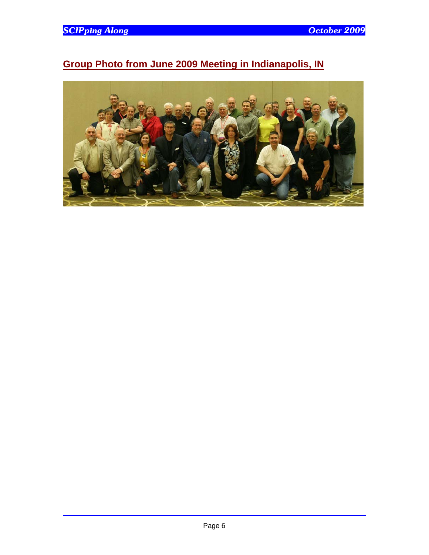# **Group Photo from June 2009 Meeting in Indianapolis, IN**